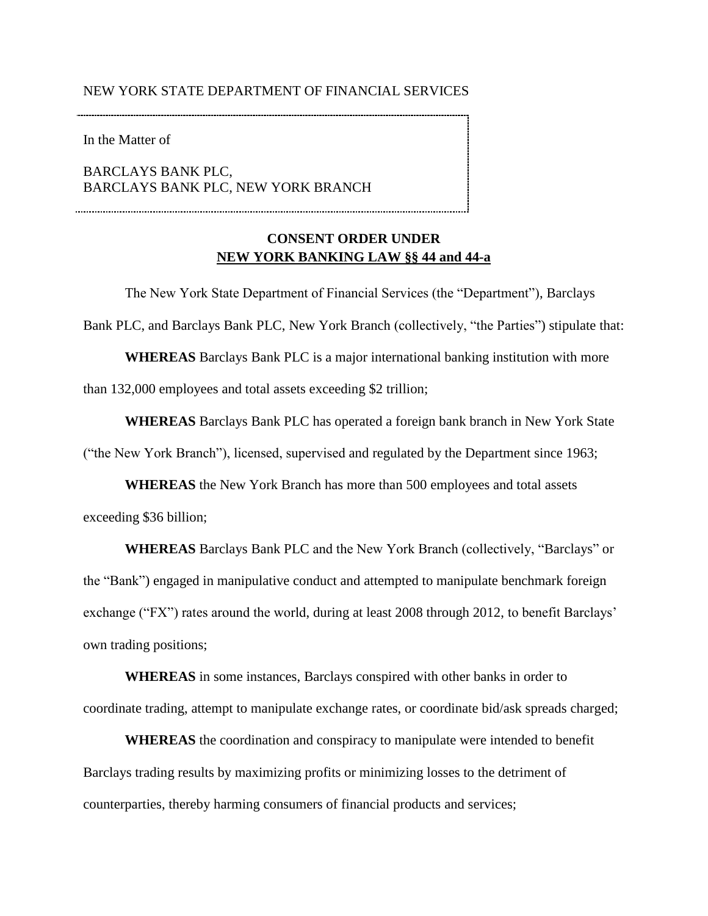### OF FINANCIAL SERVICES

In the Matter of

**BARCLAYS BANK PLC,** BARCLAYS BANK PLC, NEW YORK BRANCH NEW YORK STATE DEPARTMENT OF FINANCIAL SERVICESIn the Matter ofBARCLAYS BANK PLC,BARCLAYS BANK PLC, NEW YORK BRANCH

# **CONSENT ORDER UNDER<br>NEW YORK BANKING LAW §§ 44 and 44-a CONSENT ORDER UNDER**

 than 132,000 employees and total assets exceeding \$2 trillion; The New York State Department of Financial Services (the "Department"), Barclays Bank PLC, and Barclays Bank PLC, New York Branch (collectively, "the Parties") stipulate that: **WHEREAS** Barclays Bank PLC is a major international banking institution with more

 ("the New York Branch"), licensed, supervised and regulated by the Department since 1963; **WHEREAS** Barclays Bank PLC has operated a foreign bank branch in New York State

 **WHEREAS** the New York Branch has more than 500 employees and total assets exceeding \$36 billion;

 own trading positions; **WHEREAS** Barclays Bank PLC and the New York Branch (collectively, "Barclays" or the "Bank") engaged in manipulative conduct and attempted to manipulate benchmark foreign exchange ("FX") rates around the world, during at least 2008 through 2012, to benefit Barclays'

 **WHEREAS** in some instances, Barclays conspired with other banks in order to coordinate trading, attempt to manipulate exchange rates, or coordinate bid/ask spreads charged;

 **WHEREAS** the coordination and conspiracy to manipulate were intended to benefit Barclays trading results by maximizing profits or minimizing losses to the detriment of counterparties, thereby harming consumers of financial products and services;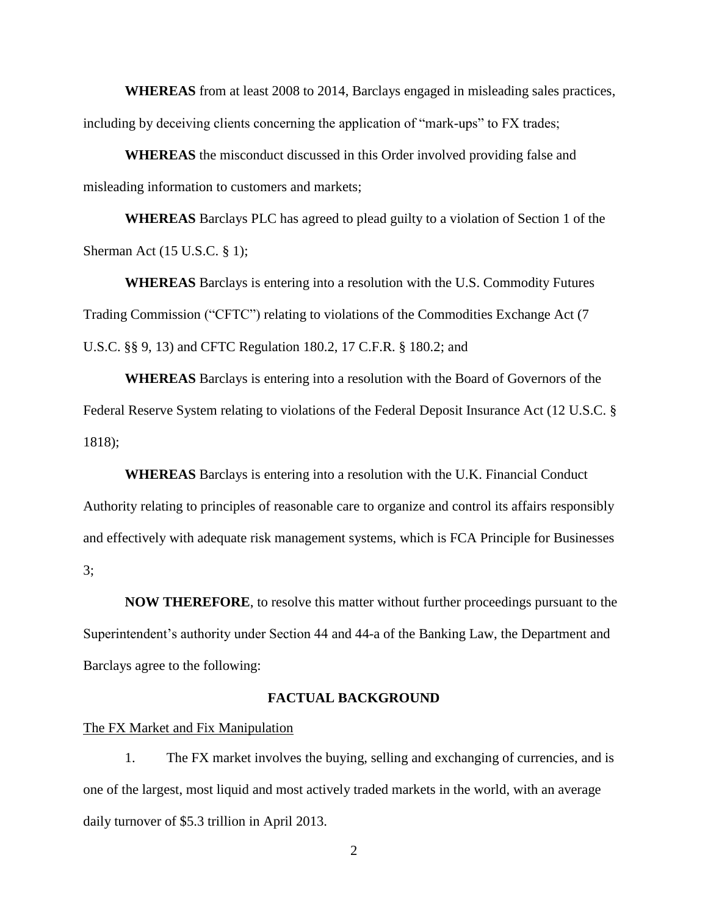including by deceiving clients concerning the application of "mark-ups" to FX trades; **WHEREAS** from at least 2008 to 2014, Barclays engaged in misleading sales practices,

 **WHEREAS** the misconduct discussed in this Order involved providing false and misleading information to customers and markets;

 **WHEREAS** Barclays PLC has agreed to plead guilty to a violation of Section 1 of the Sherman Act (15 U.S.C. § 1);

 **WHEREAS** Barclays is entering into a resolution with the U.S. Commodity Futures Trading Commission ("CFTC") relating to violations of the Commodities Exchange Act (7 U.S.C. §§ 9, 13) and CFTC Regulation 180.2, 17 C.F.R. § 180.2; and

**WHEREAS** Barclays is entering into a resolution with the Board of Governors of the Federal Reserve System relating to violations of the Federal Deposit Insurance Act (12 U.S.C. § 1818);

 **WHEREAS** Barclays is entering into a resolution with the U.K. Financial Conduct Authority relating to principles of reasonable care to organize and control its affairs responsibly and effectively with adequate risk management systems, which is FCA Principle for Businesses 3;

 Barclays agree to the following: **NOW THEREFORE**, to resolve this matter without further proceedings pursuant to the Superintendent's authority under Section 44 and 44-a of the Banking Law, the Department and

### **FACTUAL BACKGROUND**

### The FX Market and Fix Manipulation

1. The FX market involves the buying, selling and exchanging of currencies, and is one of the largest, most liquid and most actively traded markets in the world, with an average daily turnover of \$5.3 trillion in April 2013.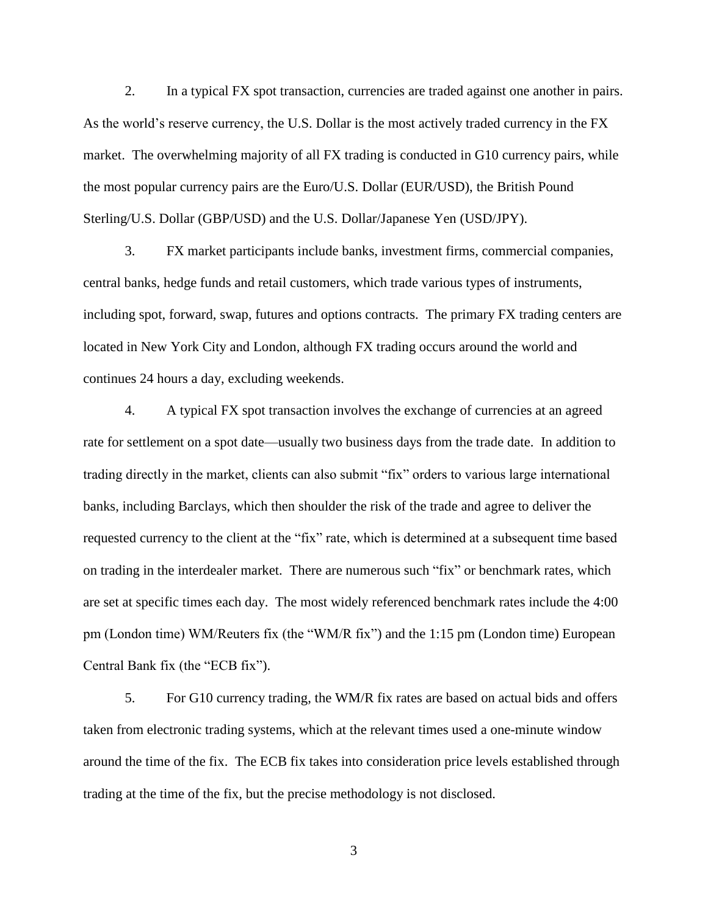2. In a typical FX spot transaction, currencies are traded against one another in pairs. As the world's reserve currency, the U.S. Dollar is the most actively traded currency in the FX the most popular currency pairs are the Euro/U.S. Dollar (EUR/USD), the British Pound market. The overwhelming majority of all FX trading is conducted in G10 currency pairs, while Sterling/U.S. Dollar (GBP/USD) and the U.S. Dollar/Japanese Yen (USD/JPY).

 including spot, forward, swap, futures and options contracts. The primary FX trading centers are 3. FX market participants include banks, investment firms, commercial companies, central banks, hedge funds and retail customers, which trade various types of instruments, located in New York City and London, although FX trading occurs around the world and continues 24 hours a day, excluding weekends.

 on trading in the interdealer market. There are numerous such "fix" or benchmark rates, which are set at specific times each day. The most widely referenced benchmark rates include the 4:00 Central Bank fix (the "ECB fix"). Central Bank fix (the "ECB fix").<br>5. For G10 currency trading, the WM/R fix rates are based on actual bids and offers 4. A typical FX spot transaction involves the exchange of currencies at an agreed rate for settlement on a spot date—usually two business days from the trade date. In addition to trading directly in the market, clients can also submit "fix" orders to various large international banks, including Barclays, which then shoulder the risk of the trade and agree to deliver the requested currency to the client at the "fix" rate, which is determined at a subsequent time based pm (London time) WM/Reuters fix (the "WM/R fix") and the 1:15 pm (London time) European

 around the time of the fix. The ECB fix takes into consideration price levels established through taken from electronic trading systems, which at the relevant times used a one-minute window trading at the time of the fix, but the precise methodology is not disclosed.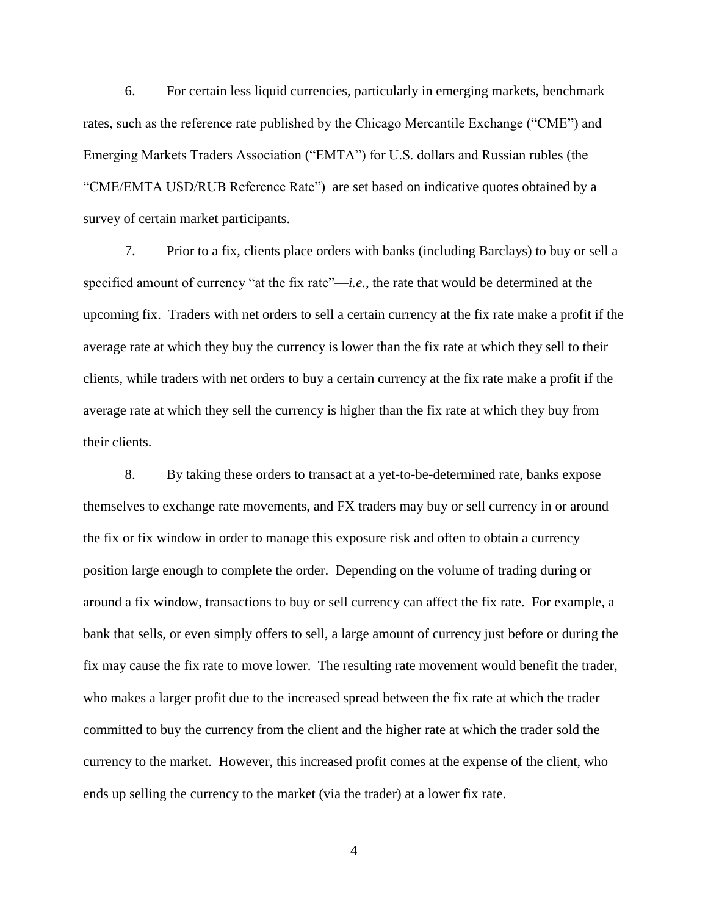"CME/EMTA USD/RUB Reference Rate") are set based on indicative quotes obtained by a 6. For certain less liquid currencies, particularly in emerging markets, benchmark rates, such as the reference rate published by the Chicago Mercantile Exchange ("CME") and Emerging Markets Traders Association ("EMTA") for U.S. dollars and Russian rubles (the survey of certain market participants.

 upcoming fix. Traders with net orders to sell a certain currency at the fix rate make a profit if the clients, while traders with net orders to buy a certain currency at the fix rate make a profit if the 7. Prior to a fix, clients place orders with banks (including Barclays) to buy or sell a specified amount of currency "at the fix rate"—*i.e.*, the rate that would be determined at the average rate at which they buy the currency is lower than the fix rate at which they sell to their average rate at which they sell the currency is higher than the fix rate at which they buy from their clients.

 themselves to exchange rate movements, and FX traders may buy or sell currency in or around the fix or fix window in order to manage this exposure risk and often to obtain a currency who makes a larger profit due to the increased spread between the fix rate at which the trader ends up selling the currency to the market (via the trader) at a lower fix rate.<br>4 8. By taking these orders to transact at a yet-to-be-determined rate, banks expose position large enough to complete the order. Depending on the volume of trading during or around a fix window, transactions to buy or sell currency can affect the fix rate. For example, a bank that sells, or even simply offers to sell, a large amount of currency just before or during the fix may cause the fix rate to move lower. The resulting rate movement would benefit the trader, committed to buy the currency from the client and the higher rate at which the trader sold the currency to the market. However, this increased profit comes at the expense of the client, who

 $\overline{4}$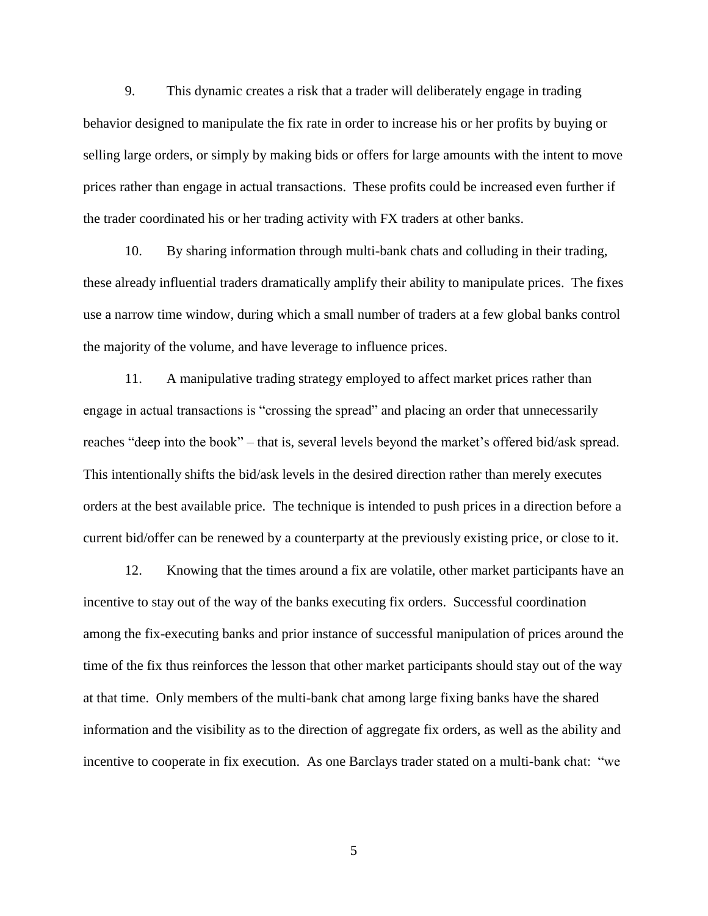9. This dynamic creates a risk that a trader will deliberately engage in trading behavior designed to manipulate the fix rate in order to increase his or her profits by buying or the trader coordinated his or her trading activity with FX traders at other banks. selling large orders, or simply by making bids or offers for large amounts with the intent to move prices rather than engage in actual transactions. These profits could be increased even further if

 these already influential traders dramatically amplify their ability to manipulate prices. The fixes 10. By sharing information through multi-bank chats and colluding in their trading, use a narrow time window, during which a small number of traders at a few global banks control the majority of the volume, and have leverage to influence prices.

 11. A manipulative trading strategy employed to affect market prices rather than orders at the best available price. The technique is intended to push prices in a direction before a current bid/offer can be renewed by a counterparty at the previously existing price, or close to it. engage in actual transactions is "crossing the spread" and placing an order that unnecessarily reaches "deep into the book" – that is, several levels beyond the market's offered bid/ask spread. This intentionally shifts the bid/ask levels in the desired direction rather than merely executes

 among the fix-executing banks and prior instance of successful manipulation of prices around the 12. Knowing that the times around a fix are volatile, other market participants have an incentive to stay out of the way of the banks executing fix orders. Successful coordination time of the fix thus reinforces the lesson that other market participants should stay out of the way at that time. Only members of the multi-bank chat among large fixing banks have the shared information and the visibility as to the direction of aggregate fix orders, as well as the ability and incentive to cooperate in fix execution. As one Barclays trader stated on a multi-bank chat: "we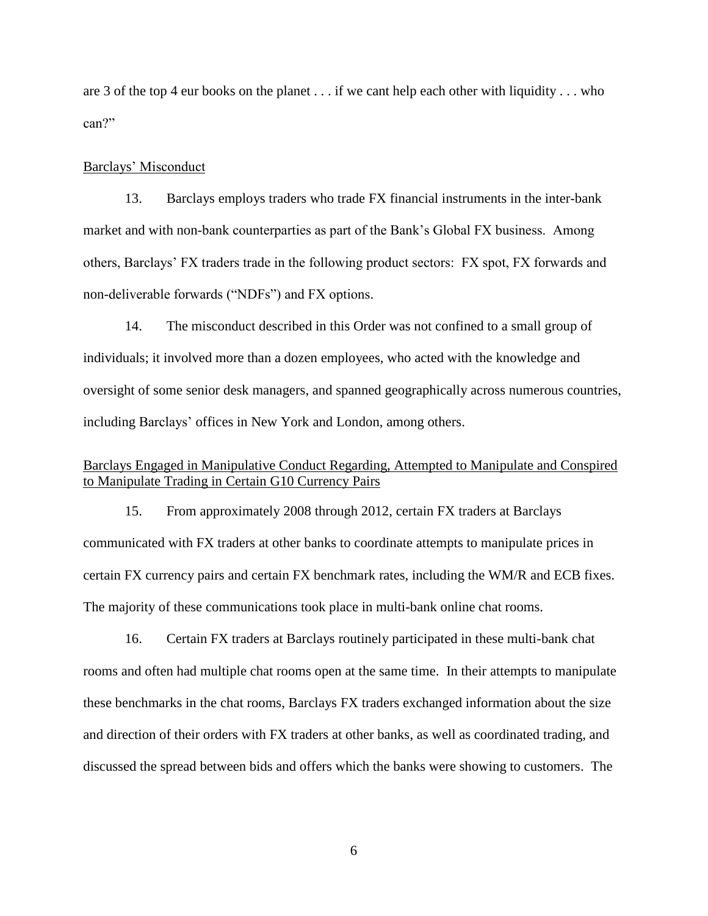are 3 of the top 4 eur books on the planet . . . if we cant help each other with liquidity . . . who can?"

### Barclays' Misconduct

13. Barclays employs traders who trade FX financial instruments in the inter-bank market and with non-bank counterparties as part of the Bank's Global FX business. Among others, Barclays' FX traders trade in the following product sectors: FX spot, FX forwards and non-deliverable forwards ("NDFs") and FX options.

 oversight of some senior desk managers, and spanned geographically across numerous countries, including Barclays' offices in New York and London, among others. 14. The misconduct described in this Order was not confined to a small group of individuals; it involved more than a dozen employees, who acted with the knowledge and

# to Manipulate Trading in Certain G10 Currency Pairs Barclays Engaged in Manipulative Conduct Regarding, Attempted to Manipulate and Conspired

15. From approximately 2008 through 2012, certain FX traders at Barclays communicated with FX traders at other banks to coordinate attempts to manipulate prices in certain FX currency pairs and certain FX benchmark rates, including the WM/R and ECB fixes. The majority of these communications took place in multi-bank online chat rooms.

 rooms and often had multiple chat rooms open at the same time. In their attempts to manipulate discussed the spread between bids and offers which the banks were showing to customers. The 16. Certain FX traders at Barclays routinely participated in these multi-bank chat these benchmarks in the chat rooms, Barclays FX traders exchanged information about the size and direction of their orders with FX traders at other banks, as well as coordinated trading, and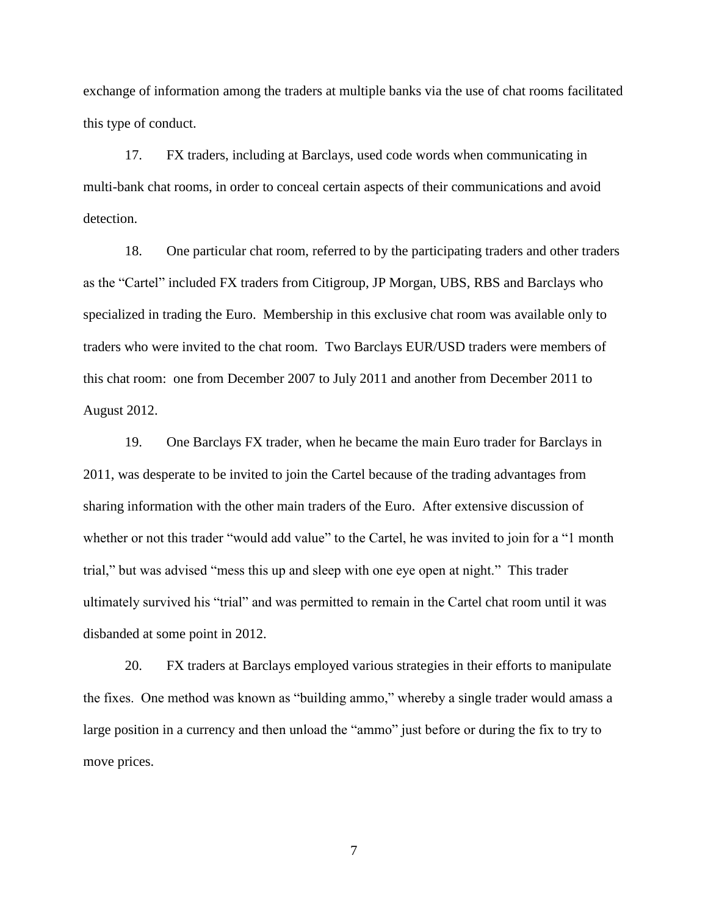exchange of information among the traders at multiple banks via the use of chat rooms facilitated this type of conduct.

 17. FX traders, including at Barclays, used code words when communicating in detection. multi-bank chat rooms, in order to conceal certain aspects of their communications and avoid

 as the "Cartel" included FX traders from Citigroup, JP Morgan, UBS, RBS and Barclays who specialized in trading the Euro. Membership in this exclusive chat room was available only to 18. One particular chat room, referred to by the participating traders and other traders traders who were invited to the chat room. Two Barclays EUR/USD traders were members of this chat room: one from December 2007 to July 2011 and another from December 2011 to August 2012.

 19. One Barclays FX trader, when he became the main Euro trader for Barclays in trial," but was advised "mess this up and sleep with one eye open at night." This trader 2011, was desperate to be invited to join the Cartel because of the trading advantages from sharing information with the other main traders of the Euro. After extensive discussion of whether or not this trader "would add value" to the Cartel, he was invited to join for a "1 month ultimately survived his "trial" and was permitted to remain in the Cartel chat room until it was disbanded at some point in 2012.

 the fixes. One method was known as "building ammo," whereby a single trader would amass a large position in a currency and then unload the "ammo" just before or during the fix to try to 20. FX traders at Barclays employed various strategies in their efforts to manipulate move prices.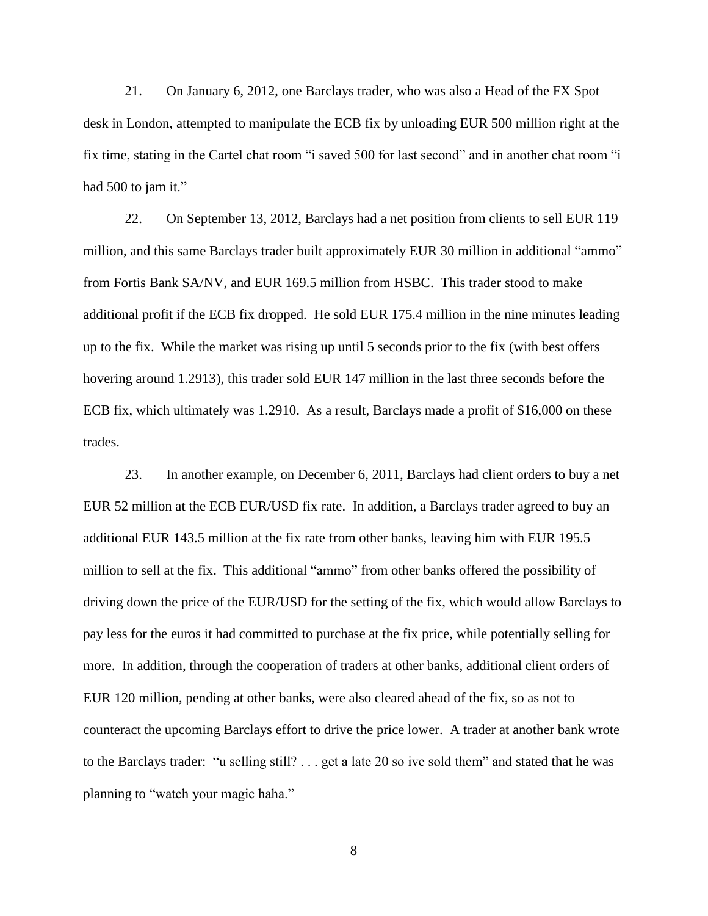21. On January 6, 2012, one Barclays trader, who was also a Head of the FX Spot desk in London, attempted to manipulate the ECB fix by unloading EUR 500 million right at the fix time, stating in the Cartel chat room "i saved 500 for last second" and in another chat room "i had 500 to jam it."

 additional profit if the ECB fix dropped. He sold EUR 175.4 million in the nine minutes leading up to the fix. While the market was rising up until 5 seconds prior to the fix (with best offers ECB fix, which ultimately was 1.2910. As a result, Barclays made a profit of \$16,000 on these 22. On September 13, 2012, Barclays had a net position from clients to sell EUR 119 million, and this same Barclays trader built approximately EUR 30 million in additional "ammo" from Fortis Bank SA/NV, and EUR 169.5 million from HSBC. This trader stood to make hovering around 1.2913), this trader sold EUR 147 million in the last three seconds before the trades.

 pay less for the euros it had committed to purchase at the fix price, while potentially selling for counteract the upcoming Barclays effort to drive the price lower. A trader at another bank wrote planning to "watch your magic haha." 8 23. In another example, on December 6, 2011, Barclays had client orders to buy a net EUR 52 million at the ECB EUR/USD fix rate. In addition, a Barclays trader agreed to buy an additional EUR 143.5 million at the fix rate from other banks, leaving him with EUR 195.5 million to sell at the fix. This additional "ammo" from other banks offered the possibility of driving down the price of the EUR/USD for the setting of the fix, which would allow Barclays to more. In addition, through the cooperation of traders at other banks, additional client orders of EUR 120 million, pending at other banks, were also cleared ahead of the fix, so as not to to the Barclays trader: "u selling still? . . . get a late 20 so ive sold them" and stated that he was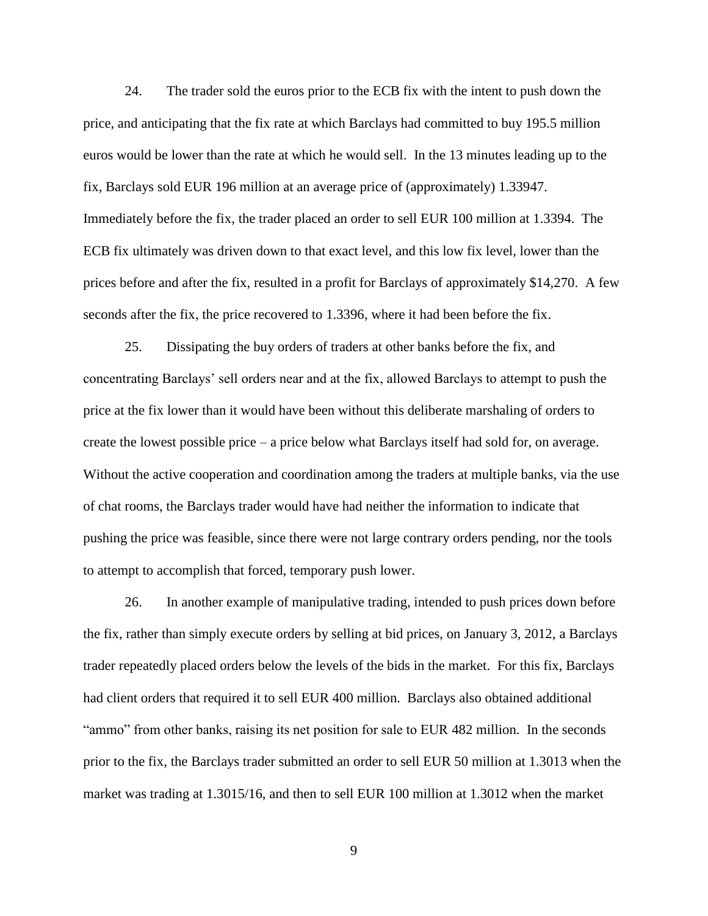euros would be lower than the rate at which he would sell. In the 13 minutes leading up to the fix, Barclays sold EUR 196 million at an average price of (approximately) 1.33947. 24. The trader sold the euros prior to the ECB fix with the intent to push down the price, and anticipating that the fix rate at which Barclays had committed to buy 195.5 million Immediately before the fix, the trader placed an order to sell EUR 100 million at 1.3394. The ECB fix ultimately was driven down to that exact level, and this low fix level, lower than the prices before and after the fix, resulted in a profit for Barclays of approximately \$14,270. A few seconds after the fix, the price recovered to 1.3396, where it had been before the fix.

 concentrating Barclays' sell orders near and at the fix, allowed Barclays to attempt to push the create the lowest possible price – a price below what Barclays itself had sold for, on average. 25. Dissipating the buy orders of traders at other banks before the fix, and price at the fix lower than it would have been without this deliberate marshaling of orders to Without the active cooperation and coordination among the traders at multiple banks, via the use of chat rooms, the Barclays trader would have had neither the information to indicate that pushing the price was feasible, since there were not large contrary orders pending, nor the tools to attempt to accomplish that forced, temporary push lower.

26. In another example of manipulative trading, intended to push prices down before the fix, rather than simply execute orders by selling at bid prices, on January 3, 2012, a Barclays trader repeatedly placed orders below the levels of the bids in the market. For this fix, Barclays had client orders that required it to sell EUR 400 million. Barclays also obtained additional "ammo" from other banks, raising its net position for sale to EUR 482 million. In the seconds prior to the fix, the Barclays trader submitted an order to sell EUR 50 million at 1.3013 when the market was trading at 1.3015/16, and then to sell EUR 100 million at 1.3012 when the market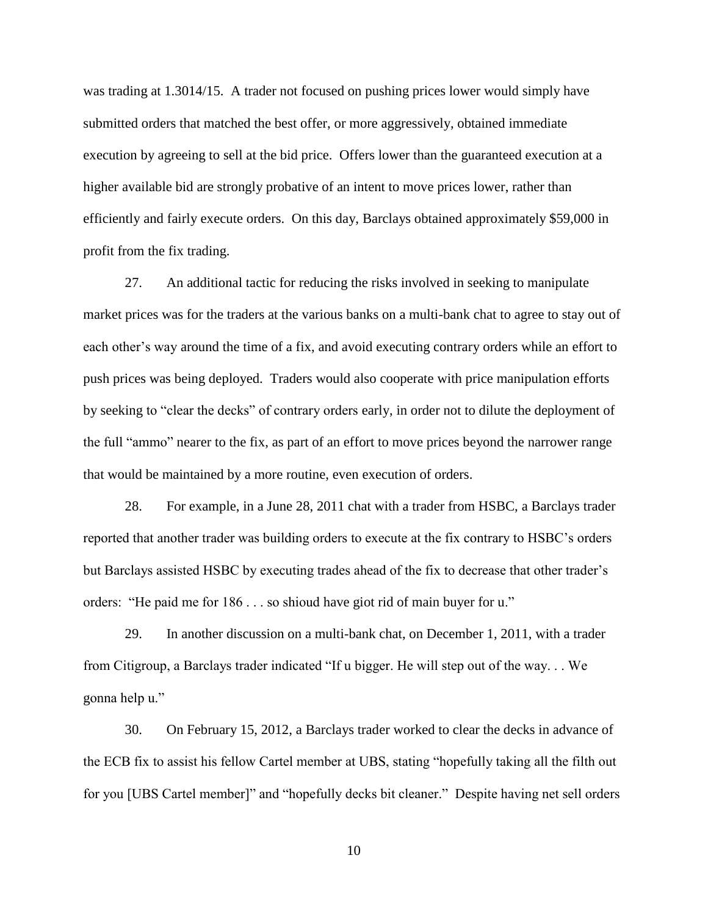was trading at 1.3014/15. A trader not focused on pushing prices lower would simply have submitted orders that matched the best offer, or more aggressively, obtained immediate execution by agreeing to sell at the bid price. Offers lower than the guaranteed execution at a higher available bid are strongly probative of an intent to move prices lower, rather than efficiently and fairly execute orders. On this day, Barclays obtained approximately \$59,000 in profit from the fix trading.

 27. An additional tactic for reducing the risks involved in seeking to manipulate push prices was being deployed. Traders would also cooperate with price manipulation efforts by seeking to "clear the decks" of contrary orders early, in order not to dilute the deployment of the full "ammo" nearer to the fix, as part of an effort to move prices beyond the narrower range that would be maintained by a more routine, even execution of orders. market prices was for the traders at the various banks on a multi-bank chat to agree to stay out of each other's way around the time of a fix, and avoid executing contrary orders while an effort to

orders: "He paid me for 186... so shioud have giot rid of main buyer for u." 28. For example, in a June 28, 2011 chat with a trader from HSBC, a Barclays trader reported that another trader was building orders to execute at the fix contrary to HSBC's orders but Barclays assisted HSBC by executing trades ahead of the fix to decrease that other trader's

 gonna help u." 29. In another discussion on a multi-bank chat, on December 1, 2011, with a trader from Citigroup, a Barclays trader indicated "If u bigger. He will step out of the way. . . We

 for you [UBS Cartel member]" and "hopefully decks bit cleaner." Despite having net sell orders 30. On February 15, 2012, a Barclays trader worked to clear the decks in advance of the ECB fix to assist his fellow Cartel member at UBS, stating "hopefully taking all the filth out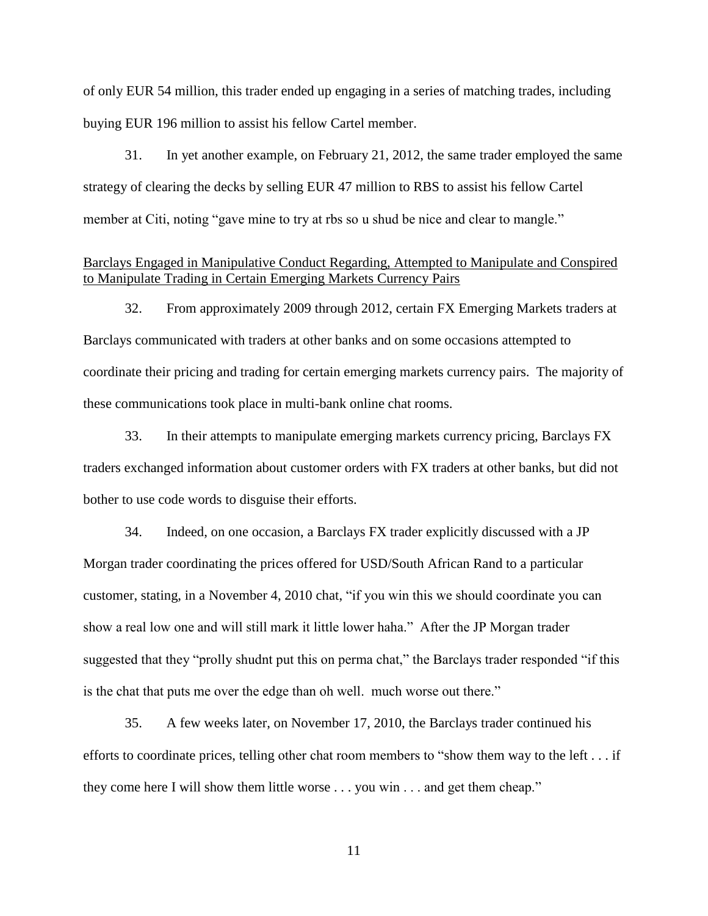of only EUR 54 million, this trader ended up engaging in a series of matching trades, including buying EUR 196 million to assist his fellow Cartel member.

31. In yet another example, on February 21, 2012, the same trader employed the same strategy of clearing the decks by selling EUR 47 million to RBS to assist his fellow Cartel member at Citi, noting "gave mine to try at rbs so u shud be nice and clear to mangle."

## Barclays Engaged in Manipulative Conduct Regarding, Attempted to Manipulate and Conspired to Manipulate Trading in Certain Emerging Markets Currency Pairs

 32. From approximately 2009 through 2012, certain FX Emerging Markets traders at Barclays communicated with traders at other banks and on some occasions attempted to coordinate their pricing and trading for certain emerging markets currency pairs. The majority of these communications took place in multi-bank online chat rooms.

33. In their attempts to manipulate emerging markets currency pricing, Barclays FX traders exchanged information about customer orders with FX traders at other banks, but did not bother to use code words to disguise their efforts.

 34. Indeed, on one occasion, a Barclays FX trader explicitly discussed with a JP Morgan trader coordinating the prices offered for USD/South African Rand to a particular customer, stating, in a November 4, 2010 chat, "if you win this we should coordinate you can show a real low one and will still mark it little lower haha." After the JP Morgan trader suggested that they "prolly shudnt put this on perma chat," the Barclays trader responded "if this is the chat that puts me over the edge than oh well. much worse out there."

 35. A few weeks later, on November 17, 2010, the Barclays trader continued his they come here I will show them little worse . . . you win . . . and get them cheap." efforts to coordinate prices, telling other chat room members to "show them way to the left . . . if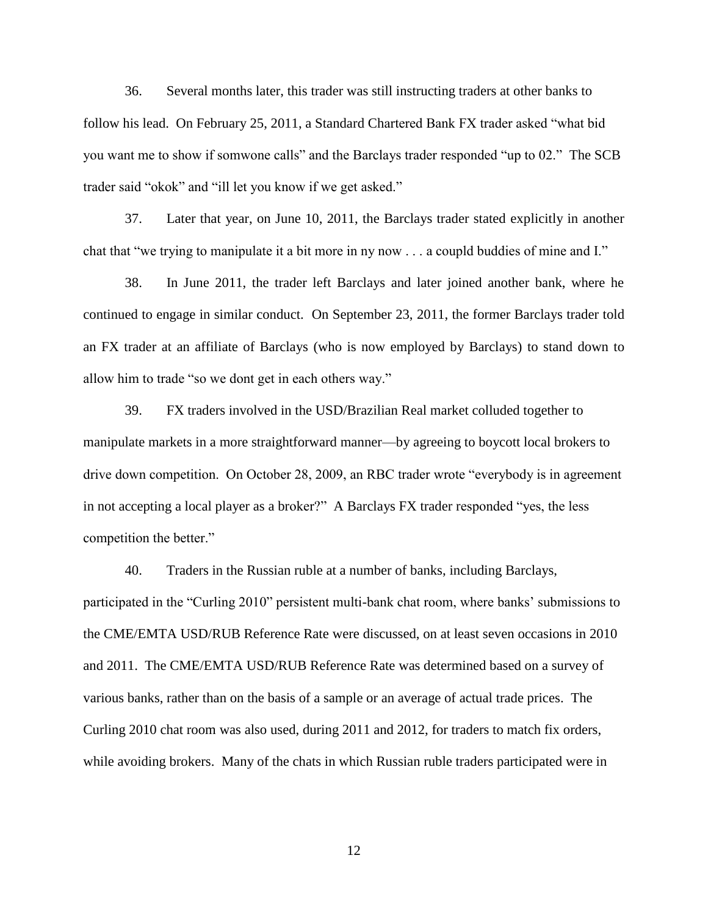36. Several months later, this trader was still instructing traders at other banks to follow his lead. On February 25, 2011, a Standard Chartered Bank FX trader asked "what bid you want me to show if somwone calls" and the Barclays trader responded "up to 02." The SCB trader said "okok" and "ill let you know if we get asked."

 37. Later that year, on June 10, 2011, the Barclays trader stated explicitly in another chat that "we trying to manipulate it a bit more in ny now . . . a coupld buddies of mine and I."

 38. In June 2011, the trader left Barclays and later joined another bank, where he an FX trader at an affiliate of Barclays (who is now employed by Barclays) to stand down to continued to engage in similar conduct. On September 23, 2011, the former Barclays trader told allow him to trade "so we dont get in each others way."

39. FX traders involved in the USD/Brazilian Real market colluded together to manipulate markets in a more straightforward manner—by agreeing to boycott local brokers to drive down competition. On October 28, 2009, an RBC trader wrote "everybody is in agreement in not accepting a local player as a broker?" A Barclays FX trader responded "yes, the less competition the better."

 the CME/EMTA USD/RUB Reference Rate were discussed, on at least seven occasions in 2010 while avoiding brokers. Many of the chats in which Russian ruble traders participated were in 40. Traders in the Russian ruble at a number of banks, including Barclays, participated in the "Curling 2010" persistent multi-bank chat room, where banks' submissions to and 2011. The CME/EMTA USD/RUB Reference Rate was determined based on a survey of various banks, rather than on the basis of a sample or an average of actual trade prices. The Curling 2010 chat room was also used, during 2011 and 2012, for traders to match fix orders,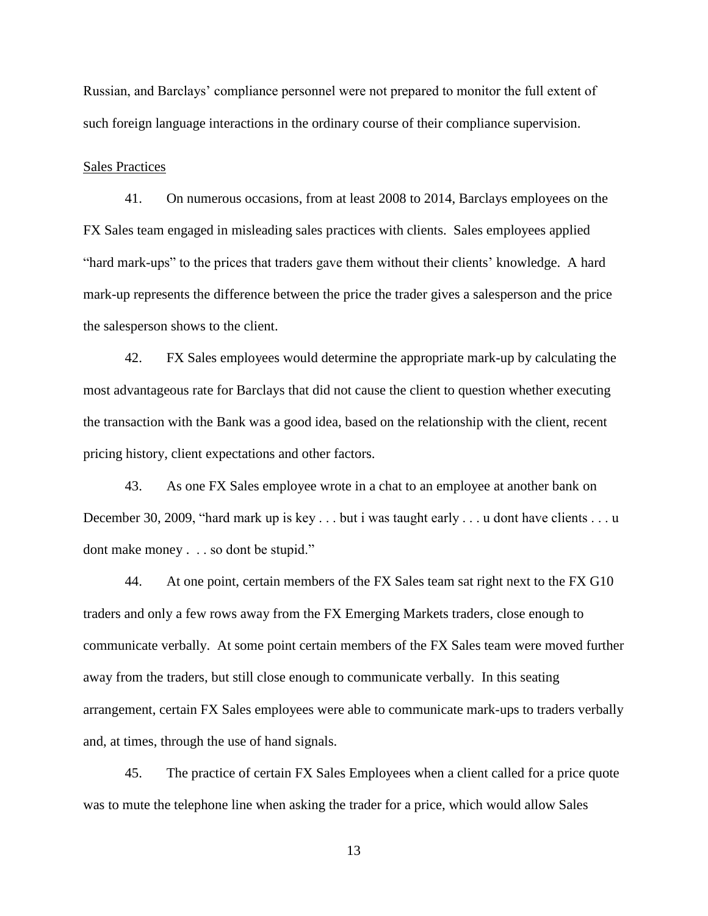Russian, and Barclays' compliance personnel were not prepared to monitor the full extent of such foreign language interactions in the ordinary course of their compliance supervision.

### Sales Practices

 41. On numerous occasions, from at least 2008 to 2014, Barclays employees on the "hard mark-ups" to the prices that traders gave them without their clients' knowledge. A hard FX Sales team engaged in misleading sales practices with clients. Sales employees applied mark-up represents the difference between the price the trader gives a salesperson and the price the salesperson shows to the client.

 pricing history, client expectations and other factors. 42. FX Sales employees would determine the appropriate mark-up by calculating the most advantageous rate for Barclays that did not cause the client to question whether executing the transaction with the Bank was a good idea, based on the relationship with the client, recent

43. As one FX Sales employee wrote in a chat to an employee at another bank on December 30, 2009, "hard mark up is key . . . but i was taught early . . . u dont have clients . . . u dont make money . . . so dont be stupid."

 communicate verbally. At some point certain members of the FX Sales team were moved further arrangement, certain FX Sales employees were able to communicate mark-ups to traders verbally 44. At one point, certain members of the FX Sales team sat right next to the FX G10 traders and only a few rows away from the FX Emerging Markets traders, close enough to away from the traders, but still close enough to communicate verbally. In this seating and, at times, through the use of hand signals.

 45. The practice of certain FX Sales Employees when a client called for a price quote was to mute the telephone line when asking the trader for a price, which would allow Sales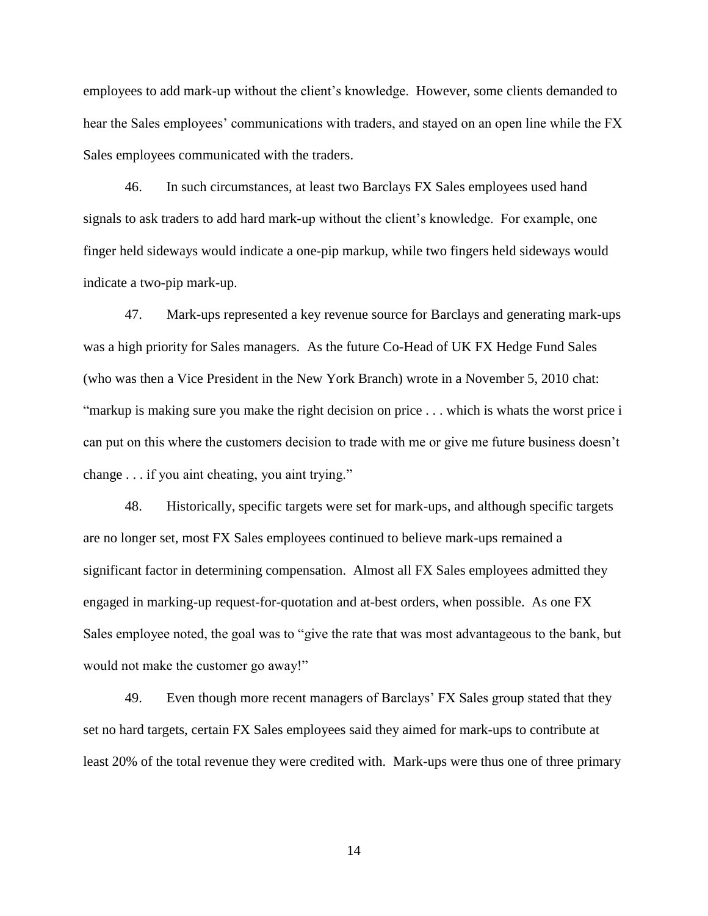employees to add mark-up without the client's knowledge. However, some clients demanded to hear the Sales employees' communications with traders, and stayed on an open line while the FX Sales employees communicated with the traders.

46. In such circumstances, at least two Barclays FX Sales employees used hand signals to ask traders to add hard mark-up without the client's knowledge. For example, one finger held sideways would indicate a one-pip markup, while two fingers held sideways would indicate a two-pip mark-up.

 was a high priority for Sales managers. As the future Co-Head of UK FX Hedge Fund Sales (who was then a Vice President in the New York Branch) wrote in a November 5, 2010 chat: change . . . if you aint cheating, you aint trying." 47. Mark-ups represented a key revenue source for Barclays and generating mark-ups "markup is making sure you make the right decision on price  $\ldots$  which is whats the worst price i can put on this where the customers decision to trade with me or give me future business doesn't

 are no longer set, most FX Sales employees continued to believe mark-ups remained a 48. Historically, specific targets were set for mark-ups, and although specific targets significant factor in determining compensation. Almost all FX Sales employees admitted they engaged in marking-up request-for-quotation and at-best orders, when possible. As one FX Sales employee noted, the goal was to "give the rate that was most advantageous to the bank, but would not make the customer go away!"

 set no hard targets, certain FX Sales employees said they aimed for mark-ups to contribute at least 20% of the total revenue they were credited with. Mark-ups were thus one of three primary 49. Even though more recent managers of Barclays' FX Sales group stated that they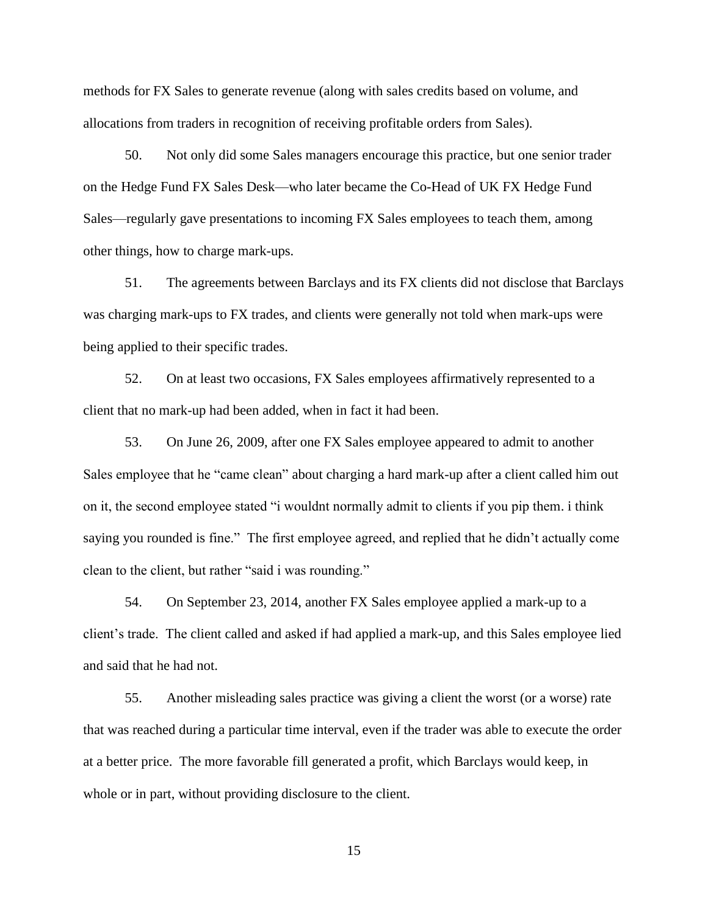methods for FX Sales to generate revenue (along with sales credits based on volume, and allocations from traders in recognition of receiving profitable orders from Sales).

50. Not only did some Sales managers encourage this practice, but one senior trader on the Hedge Fund FX Sales Desk—who later became the Co-Head of UK FX Hedge Fund Sales—regularly gave presentations to incoming FX Sales employees to teach them, among other things, how to charge mark-ups.

 was charging mark-ups to FX trades, and clients were generally not told when mark-ups were 51. The agreements between Barclays and its FX clients did not disclose that Barclays being applied to their specific trades.

 52. On at least two occasions, FX Sales employees affirmatively represented to a client that no mark-up had been added, when in fact it had been.

 saying you rounded is fine." The first employee agreed, and replied that he didn't actually come 53. On June 26, 2009, after one FX Sales employee appeared to admit to another Sales employee that he "came clean" about charging a hard mark-up after a client called him out on it, the second employee stated "i wouldnt normally admit to clients if you pip them. i think clean to the client, but rather "said i was rounding."

54. On September 23, 2014, another FX Sales employee applied a mark-up to a client's trade. The client called and asked if had applied a mark-up, and this Sales employee lied and said that he had not.

 at a better price. The more favorable fill generated a profit, which Barclays would keep, in 55. Another misleading sales practice was giving a client the worst (or a worse) rate that was reached during a particular time interval, even if the trader was able to execute the order whole or in part, without providing disclosure to the client.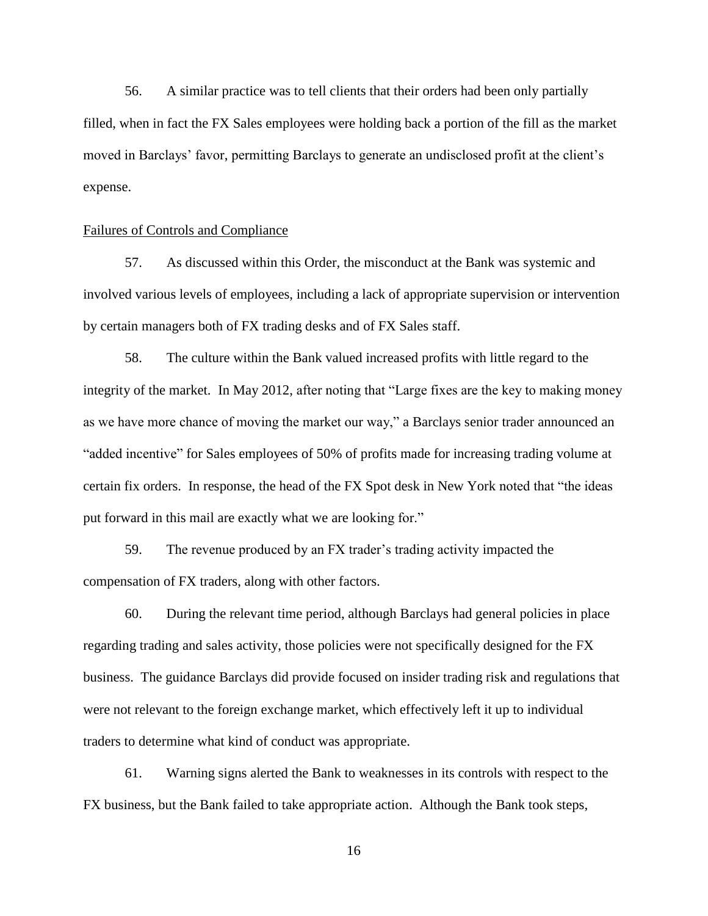56. A similar practice was to tell clients that their orders had been only partially filled, when in fact the FX Sales employees were holding back a portion of the fill as the market moved in Barclays' favor, permitting Barclays to generate an undisclosed profit at the client's expense.

### Failures of Controls and Compliance

 involved various levels of employees, including a lack of appropriate supervision or intervention by certain managers both of FX trading desks and of FX Sales staff. by certain managers both of FX trading desks and of FX Sales staff.<br>58. The culture within the Bank valued increased profits with little regard to the 57. As discussed within this Order, the misconduct at the Bank was systemic and

 integrity of the market. In May 2012, after noting that "Large fixes are the key to making money as we have more chance of moving the market our way," a Barclays senior trader announced an "added incentive" for Sales employees of 50% of profits made for increasing trading volume at put forward in this mail are exactly what we are looking for." certain fix orders. In response, the head of the FX Spot desk in New York noted that "the ideas

59. The revenue produced by an FX trader's trading activity impacted the compensation of FX traders, along with other factors.

 business. The guidance Barclays did provide focused on insider trading risk and regulations that 60. During the relevant time period, although Barclays had general policies in place regarding trading and sales activity, those policies were not specifically designed for the FX were not relevant to the foreign exchange market, which effectively left it up to individual traders to determine what kind of conduct was appropriate.

 61. Warning signs alerted the Bank to weaknesses in its controls with respect to the FX business, but the Bank failed to take appropriate action. Although the Bank took steps,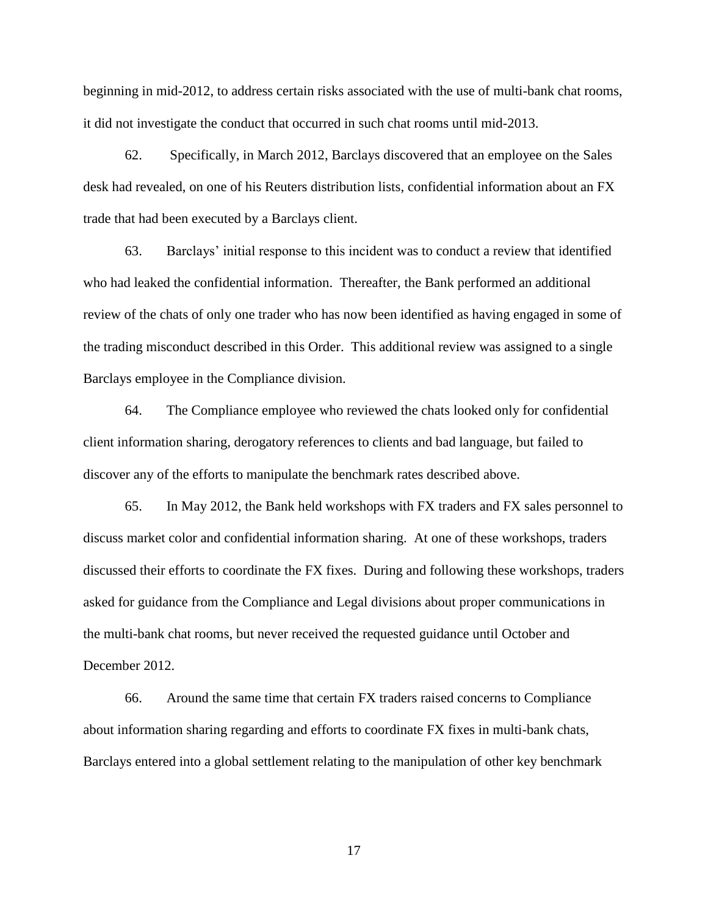it did not investigate the conduct that occurred in such chat rooms until mid-2013. 62. Specifically, in March 2012, Barclays discovered that an employee on the Sales beginning in mid-2012, to address certain risks associated with the use of multi-bank chat rooms,

 trade that had been executed by a Barclays client. desk had revealed, on one of his Reuters distribution lists, confidential information about an FX

 who had leaked the confidential information. Thereafter, the Bank performed an additional 63. Barclays' initial response to this incident was to conduct a review that identified review of the chats of only one trader who has now been identified as having engaged in some of the trading misconduct described in this Order. This additional review was assigned to a single Barclays employee in the Compliance division.

 64. The Compliance employee who reviewed the chats looked only for confidential client information sharing, derogatory references to clients and bad language, but failed to discover any of the efforts to manipulate the benchmark rates described above.

 asked for guidance from the Compliance and Legal divisions about proper communications in the multi-bank chat rooms, but never received the requested guidance until October and 65. In May 2012, the Bank held workshops with FX traders and FX sales personnel to discuss market color and confidential information sharing. At one of these workshops, traders discussed their efforts to coordinate the FX fixes. During and following these workshops, traders December 2012.

 about information sharing regarding and efforts to coordinate FX fixes in multi-bank chats, Barclays entered into a global settlement relating to the manipulation of other key benchmark 66. Around the same time that certain FX traders raised concerns to Compliance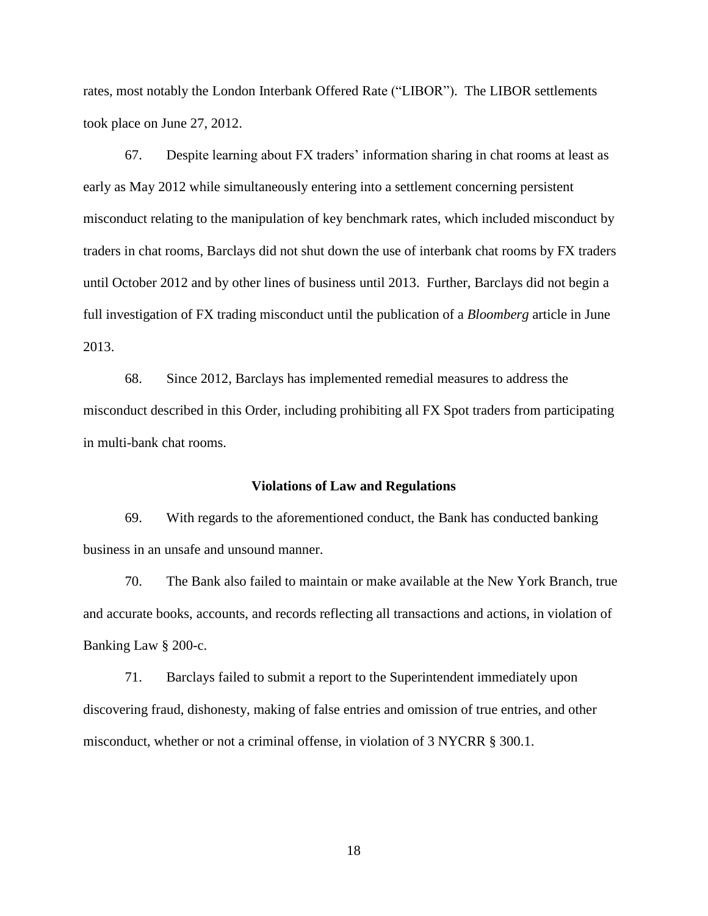took place on June 27, 2012. took place on June 27, 2012.<br>67. Despite learning about FX traders' information sharing in chat rooms at least as rates, most notably the London Interbank Offered Rate ("LIBOR"). The LIBOR settlements

 misconduct relating to the manipulation of key benchmark rates, which included misconduct by full investigation of FX trading misconduct until the publication of a *Bloomberg* article in June early as May 2012 while simultaneously entering into a settlement concerning persistent traders in chat rooms, Barclays did not shut down the use of interbank chat rooms by FX traders until October 2012 and by other lines of business until 2013. Further, Barclays did not begin a 2013.

 in multi-bank chat rooms. 68. Since 2012, Barclays has implemented remedial measures to address the misconduct described in this Order, including prohibiting all FX Spot traders from participating

### **Violations of Law and Regulations**

69. With regards to the aforementioned conduct, the Bank has conducted banking business in an unsafe and unsound manner.

70. The Bank also failed to maintain or make available at the New York Branch, true and accurate books, accounts, and records reflecting all transactions and actions, in violation of Banking Law § 200-c.

71. Barclays failed to submit a report to the Superintendent immediately upon discovering fraud, dishonesty, making of false entries and omission of true entries, and other misconduct, whether or not a criminal offense, in violation of 3 NYCRR § 300.1.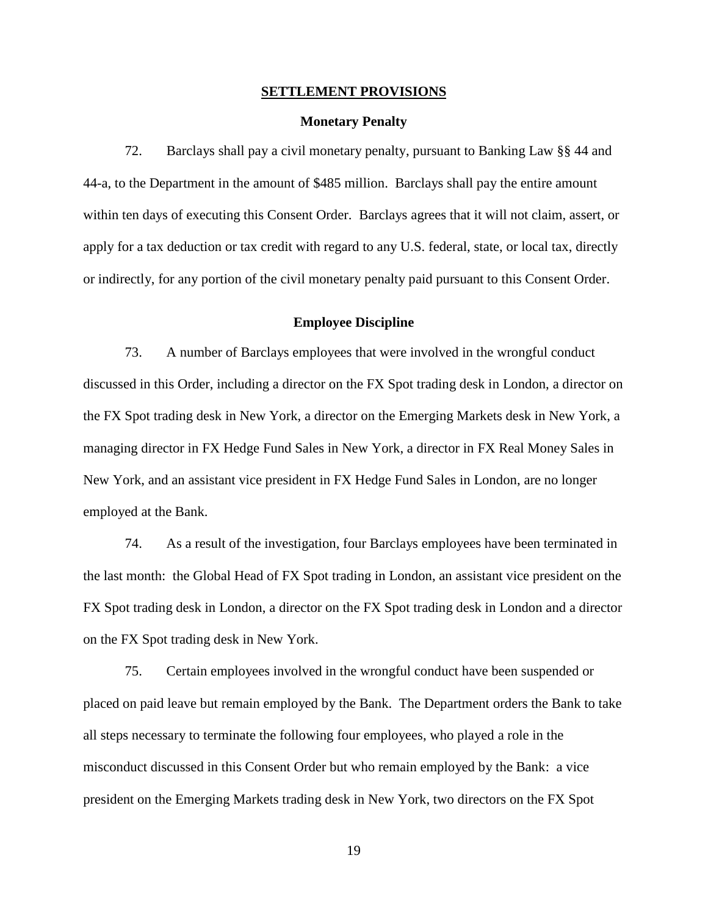# **SETTLEMENT PROVISIONS**<br>Monetary Penalty

 72. Barclays shall pay a civil monetary penalty, pursuant to Banking Law §§ 44 and 44-a, to the Department in the amount of \$485 million. Barclays shall pay the entire amount within ten days of executing this Consent Order. Barclays agrees that it will not claim, assert, or apply for a tax deduction or tax credit with regard to any U.S. federal, state, or local tax, directly or indirectly, for any portion of the civil monetary penalty paid pursuant to this Consent Order.

### **Employee Discipline**

employed at the Bank. 73. A number of Barclays employees that were involved in the wrongful conduct discussed in this Order, including a director on the FX Spot trading desk in London, a director on the FX Spot trading desk in New York, a director on the Emerging Markets desk in New York, a managing director in FX Hedge Fund Sales in New York, a director in FX Real Money Sales in New York, and an assistant vice president in FX Hedge Fund Sales in London, are no longer

 the last month: the Global Head of FX Spot trading in London, an assistant vice president on the 74. As a result of the investigation, four Barclays employees have been terminated in FX Spot trading desk in London, a director on the FX Spot trading desk in London and a director on the FX Spot trading desk in New York.

 placed on paid leave but remain employed by the Bank. The Department orders the Bank to take all steps necessary to terminate the following four employees, who played a role in the misconduct discussed in this Consent Order but who remain employed by the Bank: a vice president on the Emerging Markets trading desk in New York, two directors on the FX Spot 75. Certain employees involved in the wrongful conduct have been suspended or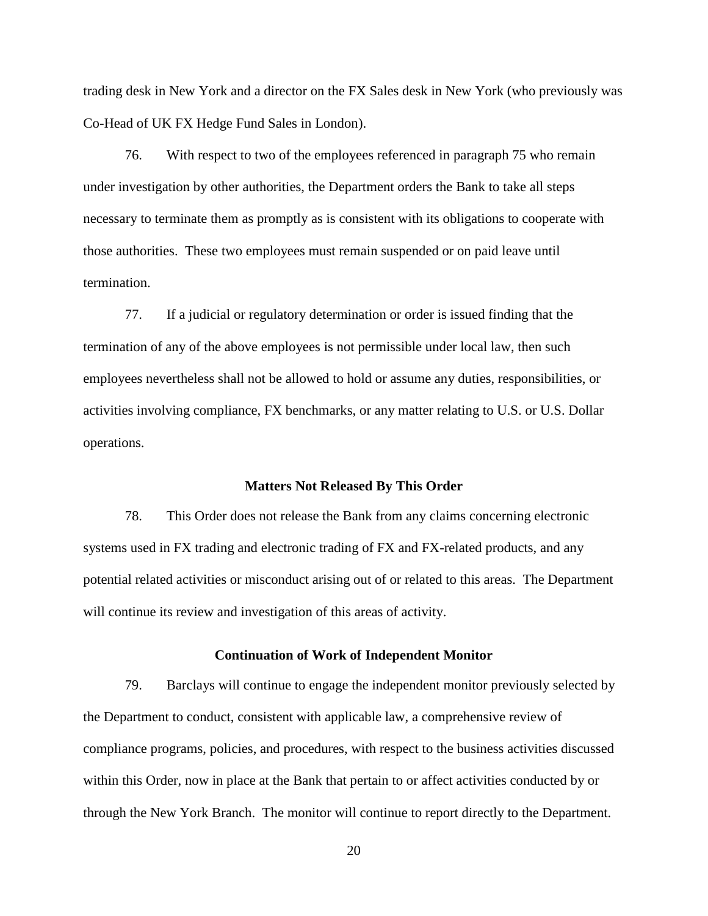trading desk in New York and a director on the FX Sales desk in New York (who previously was Co-Head of UK FX Hedge Fund Sales in London).

 76. With respect to two of the employees referenced in paragraph 75 who remain necessary to terminate them as promptly as is consistent with its obligations to cooperate with under investigation by other authorities, the Department orders the Bank to take all steps those authorities. These two employees must remain suspended or on paid leave until termination.

 activities involving compliance, FX benchmarks, or any matter relating to U.S. or U.S. Dollar operations. 77. If a judicial or regulatory determination or order is issued finding that the termination of any of the above employees is not permissible under local law, then such employees nevertheless shall not be allowed to hold or assume any duties, responsibilities, or

### **Matters Not Released By This Order**

 78. This Order does not release the Bank from any claims concerning electronic potential related activities or misconduct arising out of or related to this areas. The Department systems used in FX trading and electronic trading of FX and FX-related products, and any will continue its review and investigation of this areas of activity.

### **Continuation of Work of Independent Monitor**

 79. Barclays will continue to engage the independent monitor previously selected by the Department to conduct, consistent with applicable law, a comprehensive review of compliance programs, policies, and procedures, with respect to the business activities discussed within this Order, now in place at the Bank that pertain to or affect activities conducted by or through the New York Branch. The monitor will continue to report directly to the Department.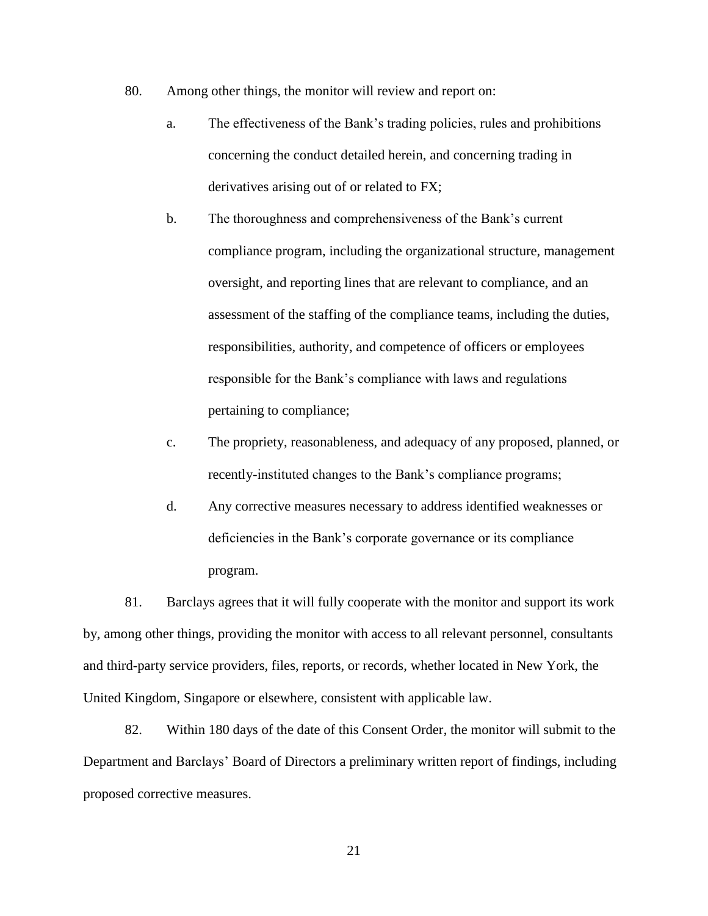- 80. Among other things, the monitor will review and report on:
	- $a_{\cdot}$ The effectiveness of the Bank's trading policies, rules and prohibitions concerning the conduct detailed herein, and concerning trading in derivatives arising out of or related to FX;
	- $\mathbf b$ . The thoroughness and comprehensiveness of the Bank's current compliance program, including the organizational structure, management oversight, and reporting lines that are relevant to compliance, and an assessment of the staffing of the compliance teams, including the duties, responsibilities, authority, and competence of officers or employees responsible for the Bank's compliance with laws and regulations pertaining to compliance;
	- $\mathbf{c}$ . The propriety, reasonableness, and adequacy of any proposed, planned, or recently-instituted changes to the Bank's compliance programs;
	- $\mathbf{d}$ . d.Any corrective measures necessary to address identified weaknesses or deficiencies in the Bank's corporate governance or its compliance program.

81. Barclays agrees that it will fully cooperate with the monitor and support its work by, among other things, providing the monitor with access to all relevant personnel, consultants and third-party service providers, files, reports, or records, whether located in New York, the United Kingdom, Singapore or elsewhere, consistent with applicable law.

 82. Within 180 days of the date of this Consent Order, the monitor will submit to the Department and Barclays' Board of Directors a preliminary written report of findings, including proposed corrective measures.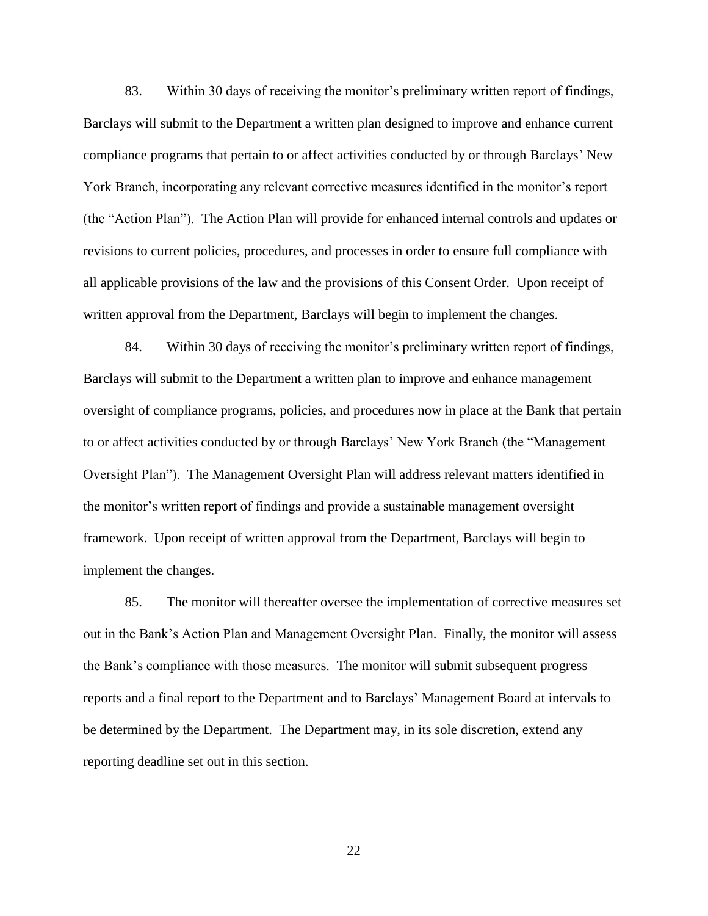83. Within 30 days of receiving the monitor's preliminary written report of findings, Barclays will submit to the Department a written plan designed to improve and enhance current compliance programs that pertain to or affect activities conducted by or through Barclays' New York Branch, incorporating any relevant corrective measures identified in the monitor's report (the "Action Plan"). The Action Plan will provide for enhanced internal controls and updates or revisions to current policies, procedures, and processes in order to ensure full compliance with all applicable provisions of the law and the provisions of this Consent Order. Upon receipt of written approval from the Department, Barclays will begin to implement the changes.

84. Within 30 days of receiving the monitor's preliminary written report of findings, Barclays will submit to the Department a written plan to improve and enhance management oversight of compliance programs, policies, and procedures now in place at the Bank that pertain to or affect activities conducted by or through Barclays' New York Branch (the "Management Oversight Plan"). The Management Oversight Plan will address relevant matters identified in the monitor's written report of findings and provide a sustainable management oversight framework. Upon receipt of written approval from the Department, Barclays will begin to implement the changes.

 the Bank's compliance with those measures. The monitor will submit subsequent progress 85. The monitor will thereafter oversee the implementation of corrective measures set out in the Bank's Action Plan and Management Oversight Plan. Finally, the monitor will assess reports and a final report to the Department and to Barclays' Management Board at intervals to be determined by the Department. The Department may, in its sole discretion, extend any reporting deadline set out in this section.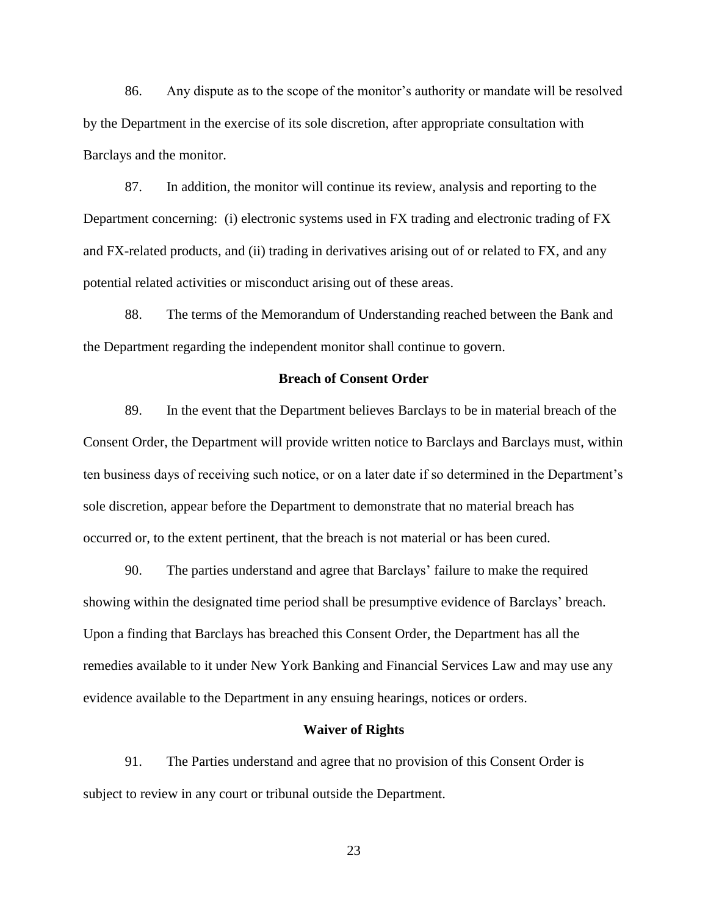86. Any dispute as to the scope of the monitor's authority or mandate will be resolved by the Department in the exercise of its sole discretion, after appropriate consultation with Barclays and the monitor.

 87. In addition, the monitor will continue its review, analysis and reporting to the Department concerning: (i) electronic systems used in FX trading and electronic trading of FX and FX-related products, and (ii) trading in derivatives arising out of or related to FX, and any potential related activities or misconduct arising out of these areas.

88. The terms of the Memorandum of Understanding reached between the Bank and the Department regarding the independent monitor shall continue to govern.

### **Breach of Consent Order**

89. In the event that the Department believes Barclays to be in material breach of the Consent Order, the Department will provide written notice to Barclays and Barclays must, within ten business days of receiving such notice, or on a later date if so determined in the Department's sole discretion, appear before the Department to demonstrate that no material breach has occurred or, to the extent pertinent, that the breach is not material or has been cured.

 showing within the designated time period shall be presumptive evidence of Barclays' breach. 90. The parties understand and agree that Barclays' failure to make the required Upon a finding that Barclays has breached this Consent Order, the Department has all the remedies available to it under New York Banking and Financial Services Law and may use any evidence available to the Department in any ensuing hearings, notices or orders.

### **Waiver of Rights**

91. The Parties understand and agree that no provision of this Consent Order is subject to review in any court or tribunal outside the Department.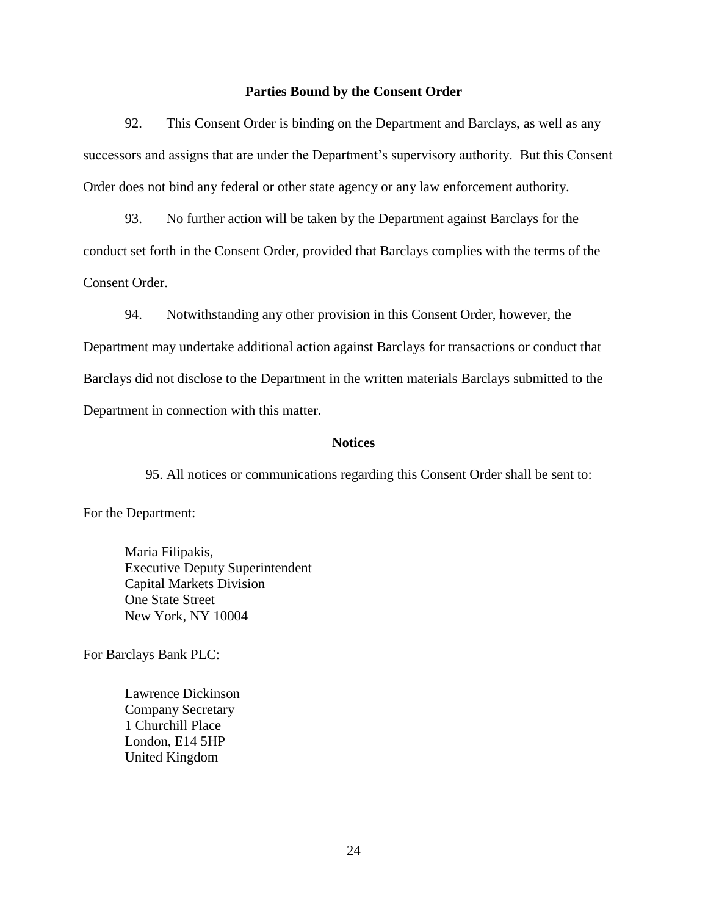### **Parties Bound by the Consent Order**

 successors and assigns that are under the Department's supervisory authority. But this Consent 92. This Consent Order is binding on the Department and Barclays, as well as any Order does not bind any federal or other state agency or any law enforcement authority.

 93. No further action will be taken by the Department against Barclays for the conduct set forth in the Consent Order, provided that Barclays complies with the terms of the Consent Order.

94. Notwithstanding any other provision in this Consent Order, however, the Department may undertake additional action against Barclays for transactions or conduct that Barclays did not disclose to the Department in the written materials Barclays submitted to the Department in connection with this matter.

### **Notices**

95. All notices or communications regarding this Consent Order shall be sent to:

For the Department:

Division 10004 Executive Deputy Superintendent<br>Capital Markets Division<br>One State Street<br>New York, NY 10004<br>For Barclays Bank PLC: **One State Street** Maria Filipakis,

Lawrence Dickinson **Company Secretary** 1 Churchill Place London, E14 5HP Lawrence Dickinson<br>Company Secretary<br>1 Churchill Place<br>London, E14 5HP<br>United Kingdom<br>24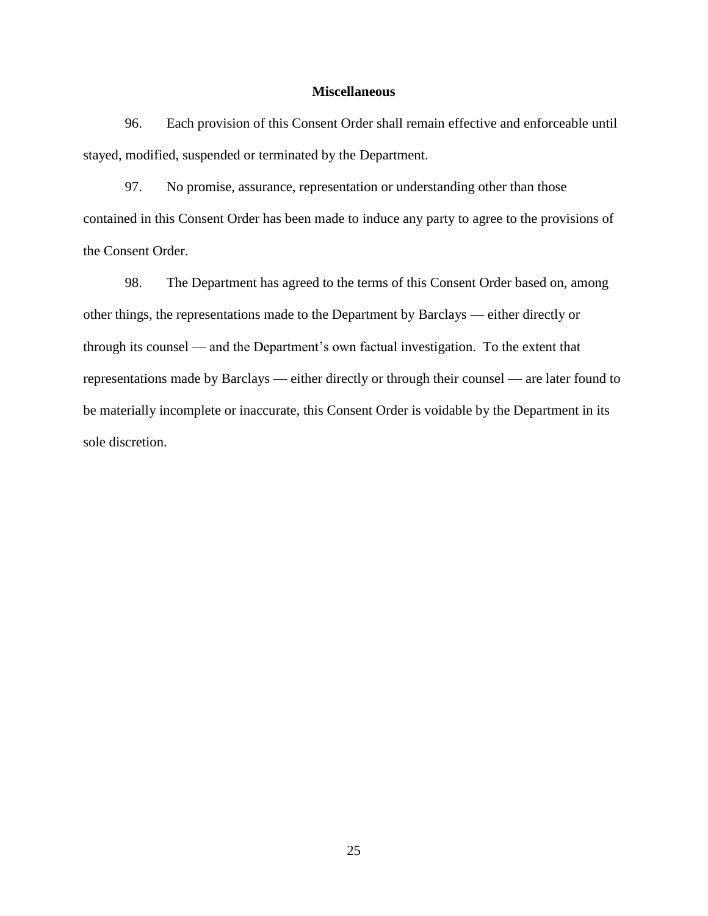### **Miscellaneous**

 stayed, modified, suspended or terminated by the Department. 96. Each provision of this Consent Order shall remain effective and enforceable until

97. No promise, assurance, representation or understanding other than those contained in this Consent Order has been made to induce any party to agree to the provisions of the Consent Order.

 other things, the representations made to the Department by Barclays — either directly or through its counsel — and the Department's own factual investigation. To the extent that representations made by Barclays — either directly or through their counsel — are later found to 98. The Department has agreed to the terms of this Consent Order based on, among be materially incomplete or inaccurate, this Consent Order is voidable by the Department in its sole discretion.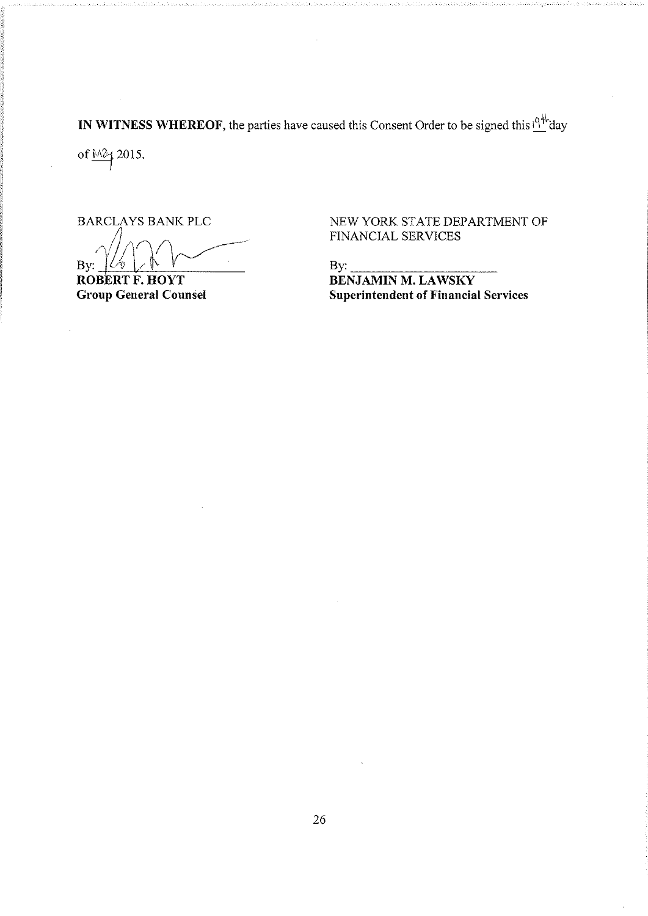IN WITNESS WHEREOF, the parties have caused this Consent Order to be signed this  $19^{4k}$ day

of  $\frac{M2}{3}$  2015.

ina ang pag-agamang ang pag-agamang ang pag-agamang ang pag-agamang ang pag-agamang ang pag-agamang ang pag-ag<br>Isang pag-agamang ang pag-agamang ang pag-agamang ang pag-agamang ang pag-agamang ang pag-agamang ang pag-agam It

 $Z\lambda V$  $By: \frac{\sqrt{2\pi N}}{N}$  By:

BARCLAYS BANK PLC NEW YORK STATE DEPARTMENT OF FINANCIAL SERVICES

ROBERT F. HOYT<br>
Group General Counsel<br>
Superintendent of Financia Superintendent of Financial Services